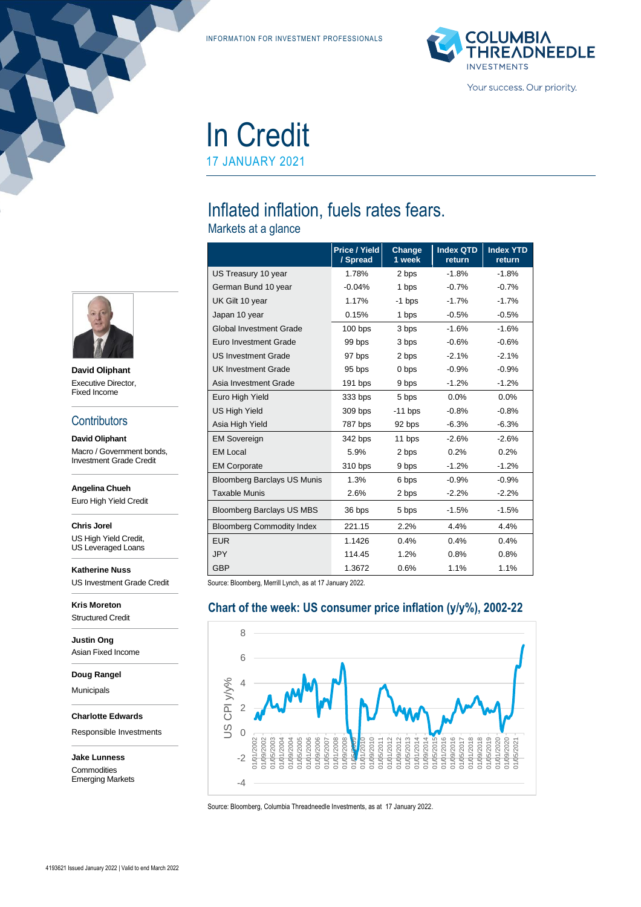INFORMATION FOR INVESTMENT PROFESSIONALS



# In Credit

17 JANUARY 2021

# Inflated inflation, fuels rates fears.

Markets at a glance

|                                    | <b>Price / Yield</b><br>/ Spread | Change<br>1 week | <b>Index QTD</b><br>return | <b>Index YTD</b><br>return |
|------------------------------------|----------------------------------|------------------|----------------------------|----------------------------|
| US Treasury 10 year                | 1.78%                            | 2 bps            | $-1.8%$                    | $-1.8%$                    |
| German Bund 10 year                | $-0.04%$                         | 1 bps            | $-0.7%$                    | $-0.7%$                    |
| UK Gilt 10 year                    | 1.17%                            | $-1$ bps         | $-1.7%$                    | $-1.7%$                    |
| Japan 10 year                      | 0.15%                            | 1 bps            | $-0.5%$                    | $-0.5%$                    |
| <b>Global Investment Grade</b>     | $100$ bps                        | 3 bps            | $-1.6%$                    | $-1.6%$                    |
| Euro Investment Grade              | 99 bps                           | 3 bps            | $-0.6%$                    | $-0.6%$                    |
| <b>US Investment Grade</b>         | 97 bps                           | 2 bps            | $-2.1%$                    | $-2.1%$                    |
| <b>UK Investment Grade</b>         | 95 bps                           | 0 bps            | $-0.9%$                    | $-0.9%$                    |
| Asia Investment Grade              | $191$ bps                        | 9 bps            | $-1.2%$                    | $-1.2%$                    |
| Euro High Yield                    | 333 bps                          | 5 bps            | 0.0%                       | 0.0%                       |
| <b>US High Yield</b>               | 309 bps                          | $-11$ bps        | $-0.8%$                    | $-0.8%$                    |
| Asia High Yield                    | 787 bps                          | 92 bps           | $-6.3%$                    | $-6.3%$                    |
| <b>EM Sovereign</b>                | 342 bps                          | 11 bps           | $-2.6%$                    | $-2.6%$                    |
| <b>EM Local</b>                    | 5.9%                             | 2 bps            | 0.2%                       | 0.2%                       |
| <b>EM Corporate</b>                | 310 bps                          | 9 bps            | $-1.2%$                    | $-1.2%$                    |
| <b>Bloomberg Barclays US Munis</b> | 1.3%                             | 6 bps            | $-0.9\%$                   | $-0.9%$                    |
| <b>Taxable Munis</b>               | 2.6%                             | 2 bps            | $-2.2%$                    | $-2.2%$                    |
| <b>Bloomberg Barclays US MBS</b>   | 36 bps                           | 5 bps            | $-1.5%$                    | $-1.5%$                    |
| <b>Bloomberg Commodity Index</b>   | 221.15                           | 2.2%             | 4.4%                       | 4.4%                       |
| <b>EUR</b>                         | 1.1426                           | 0.4%             | 0.4%                       | 0.4%                       |
| <b>JPY</b>                         | 114.45                           | 1.2%             | 0.8%                       | 0.8%                       |
| <b>GBP</b>                         | 1.3672                           | 0.6%             | 1.1%                       | 1.1%                       |

Source: Bloomberg, Merrill Lynch, as at 17 January 2022.

# **Chart of the week: US consumer price inflation (y/y%), 2002-22**



Source: Bloomberg, Columbia Threadneedle Investments, as at 17 January 2022.



**David Oliphant** Executive Director, Fixed Income

#### **Contributors**

**David Oliphant** Macro / Government bonds, Investment Grade Credit

**Angelina Chueh**

Euro High Yield Credit

#### **Chris Jorel**

US High Yield Credit, US Leveraged Loans

**Katherine Nuss** US Investment Grade Credit

**Kris Moreton** Structured Credit

**Justin Ong** Asian Fixed Income

**Doug Rangel**

Municipals

**Charlotte Edwards**

Responsible Investments

**Jake Lunness Commodities** Emerging Markets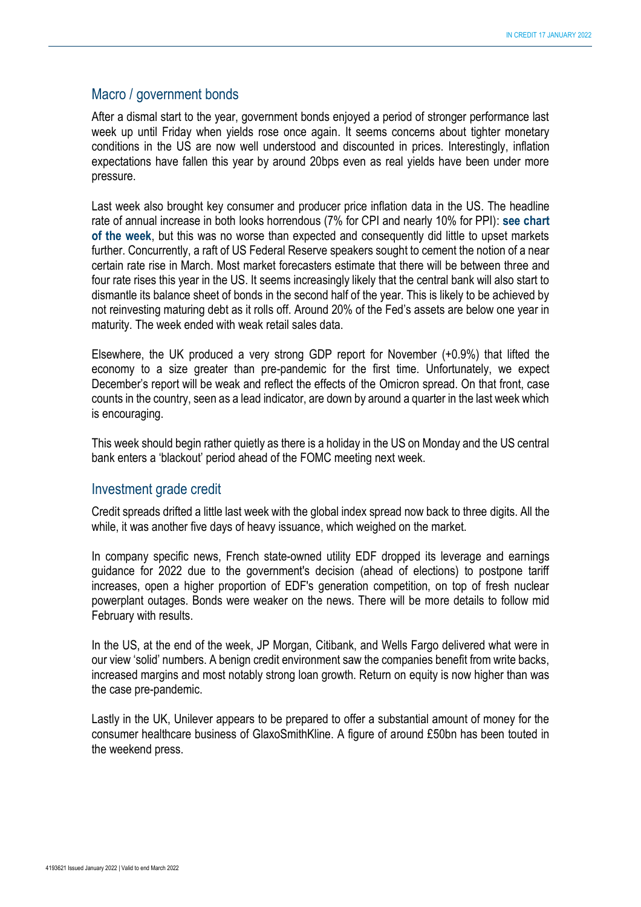# Macro / government bonds

After a dismal start to the year, government bonds enjoyed a period of stronger performance last week up until Friday when yields rose once again. It seems concerns about tighter monetary conditions in the US are now well understood and discounted in prices. Interestingly, inflation expectations have fallen this year by around 20bps even as real yields have been under more pressure.

Last week also brought key consumer and producer price inflation data in the US. The headline rate of annual increase in both looks horrendous (7% for CPI and nearly 10% for PPI): **see chart of the week**, but this was no worse than expected and consequently did little to upset markets further. Concurrently, a raft of US Federal Reserve speakers sought to cement the notion of a near certain rate rise in March. Most market forecasters estimate that there will be between three and four rate rises this year in the US. It seems increasingly likely that the central bank will also start to dismantle its balance sheet of bonds in the second half of the year. This is likely to be achieved by not reinvesting maturing debt as it rolls off. Around 20% of the Fed's assets are below one year in maturity. The week ended with weak retail sales data.

Elsewhere, the UK produced a very strong GDP report for November (+0.9%) that lifted the economy to a size greater than pre-pandemic for the first time. Unfortunately, we expect December's report will be weak and reflect the effects of the Omicron spread. On that front, case counts in the country, seen as a lead indicator, are down by around a quarter in the last week which is encouraging.

This week should begin rather quietly as there is a holiday in the US on Monday and the US central bank enters a 'blackout' period ahead of the FOMC meeting next week.

# Investment grade credit

Credit spreads drifted a little last week with the global index spread now back to three digits. All the while, it was another five days of heavy issuance, which weighed on the market.

In company specific news, French state-owned utility EDF dropped its leverage and earnings guidance for 2022 due to the government's decision (ahead of elections) to postpone tariff increases, open a higher proportion of EDF's generation competition, on top of fresh nuclear powerplant outages. Bonds were weaker on the news. There will be more details to follow mid February with results.

In the US, at the end of the week, JP Morgan, Citibank, and Wells Fargo delivered what were in our view 'solid' numbers. A benign credit environment saw the companies benefit from write backs, increased margins and most notably strong loan growth. Return on equity is now higher than was the case pre-pandemic.

Lastly in the UK, Unilever appears to be prepared to offer a substantial amount of money for the consumer healthcare business of GlaxoSmithKline. A figure of around £50bn has been touted in the weekend press.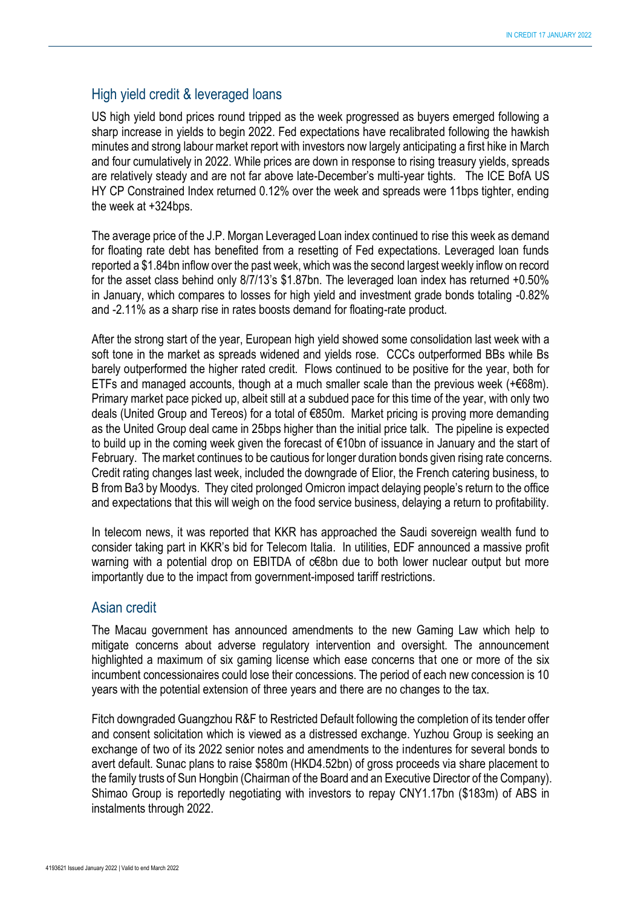# High yield credit & leveraged loans

US high yield bond prices round tripped as the week progressed as buyers emerged following a sharp increase in yields to begin 2022. Fed expectations have recalibrated following the hawkish minutes and strong labour market report with investors now largely anticipating a first hike in March and four cumulatively in 2022. While prices are down in response to rising treasury yields, spreads are relatively steady and are not far above late-December's multi-year tights. The ICE BofA US HY CP Constrained Index returned 0.12% over the week and spreads were 11bps tighter, ending the week at +324bps.

The average price of the J.P. Morgan Leveraged Loan index continued to rise this week as demand for floating rate debt has benefited from a resetting of Fed expectations. Leveraged loan funds reported a \$1.84bn inflow over the past week, which was the second largest weekly inflow on record for the asset class behind only 8/7/13's \$1.87bn. The leveraged loan index has returned +0.50% in January, which compares to losses for high yield and investment grade bonds totaling -0.82% and -2.11% as a sharp rise in rates boosts demand for floating-rate product.

After the strong start of the year, European high yield showed some consolidation last week with a soft tone in the market as spreads widened and yields rose. CCCs outperformed BBs while Bs barely outperformed the higher rated credit. Flows continued to be positive for the year, both for ETFs and managed accounts, though at a much smaller scale than the previous week  $(+68m)$ . Primary market pace picked up, albeit still at a subdued pace for this time of the year, with only two deals (United Group and Tereos) for a total of €850m. Market pricing is proving more demanding as the United Group deal came in 25bps higher than the initial price talk. The pipeline is expected to build up in the coming week given the forecast of €10bn of issuance in January and the start of February. The market continues to be cautious for longer duration bonds given rising rate concerns. Credit rating changes last week, included the downgrade of Elior, the French catering business, to B from Ba3 by Moodys. They cited prolonged Omicron impact delaying people's return to the office and expectations that this will weigh on the food service business, delaying a return to profitability.

In telecom news, it was reported that KKR has approached the Saudi sovereign wealth fund to consider taking part in KKR's bid for Telecom Italia. In utilities, EDF announced a massive profit warning with a potential drop on EBITDA of c€8bn due to both lower nuclear output but more importantly due to the impact from government-imposed tariff restrictions.

#### Asian credit

The Macau government has announced amendments to the new Gaming Law which help to mitigate concerns about adverse regulatory intervention and oversight. The announcement highlighted a maximum of six gaming license which ease concerns that one or more of the six incumbent concessionaires could lose their concessions. The period of each new concession is 10 years with the potential extension of three years and there are no changes to the tax.

Fitch downgraded Guangzhou R&F to Restricted Default following the completion of its tender offer and consent solicitation which is viewed as a distressed exchange. Yuzhou Group is seeking an exchange of two of its 2022 senior notes and amendments to the indentures for several bonds to avert default. Sunac plans to raise \$580m (HKD4.52bn) of gross proceeds via share placement to the family trusts of Sun Hongbin (Chairman of the Board and an Executive Director of the Company). Shimao Group is reportedly negotiating with investors to repay CNY1.17bn (\$183m) of ABS in instalments through 2022.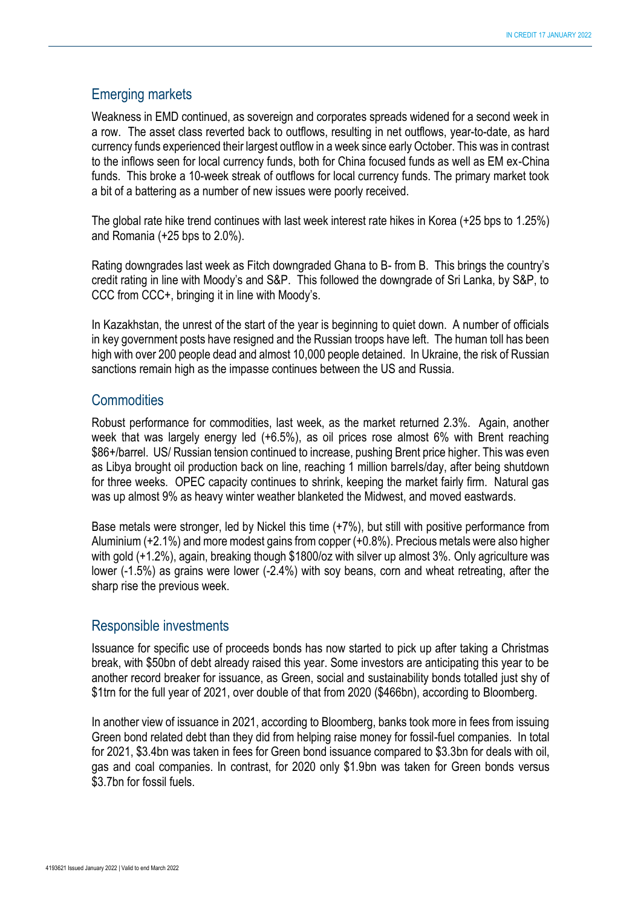# Emerging markets

Weakness in EMD continued, as sovereign and corporates spreads widened for a second week in a row. The asset class reverted back to outflows, resulting in net outflows, year-to-date, as hard currency funds experienced their largest outflow in a week since early October. This was in contrast to the inflows seen for local currency funds, both for China focused funds as well as EM ex-China funds. This broke a 10-week streak of outflows for local currency funds. The primary market took a bit of a battering as a number of new issues were poorly received.

The global rate hike trend continues with last week interest rate hikes in Korea (+25 bps to 1.25%) and Romania (+25 bps to 2.0%).

Rating downgrades last week as Fitch downgraded Ghana to B- from B. This brings the country's credit rating in line with Moody's and S&P. This followed the downgrade of Sri Lanka, by S&P, to CCC from CCC+, bringing it in line with Moody's.

In Kazakhstan, the unrest of the start of the year is beginning to quiet down. A number of officials in key government posts have resigned and the Russian troops have left. The human toll has been high with over 200 people dead and almost 10,000 people detained. In Ukraine, the risk of Russian sanctions remain high as the impasse continues between the US and Russia.

# **Commodities**

Robust performance for commodities, last week, as the market returned 2.3%. Again, another week that was largely energy led (+6.5%), as oil prices rose almost 6% with Brent reaching \$86+/barrel. US/ Russian tension continued to increase, pushing Brent price higher. This was even as Libya brought oil production back on line, reaching 1 million barrels/day, after being shutdown for three weeks. OPEC capacity continues to shrink, keeping the market fairly firm. Natural gas was up almost 9% as heavy winter weather blanketed the Midwest, and moved eastwards.

Base metals were stronger, led by Nickel this time (+7%), but still with positive performance from Aluminium (+2.1%) and more modest gains from copper (+0.8%). Precious metals were also higher with gold (+1.2%), again, breaking though \$1800/oz with silver up almost 3%. Only agriculture was lower (-1.5%) as grains were lower (-2.4%) with soy beans, corn and wheat retreating, after the sharp rise the previous week.

# Responsible investments

Issuance for specific use of proceeds bonds has now started to pick up after taking a Christmas break, with \$50bn of debt already raised this year. Some investors are anticipating this year to be another record breaker for issuance, as Green, social and sustainability bonds totalled just shy of \$1trn for the full year of 2021, over double of that from 2020 (\$466bn), according to Bloomberg.

In another view of issuance in 2021, according to Bloomberg, banks took more in fees from issuing Green bond related debt than they did from helping raise money for fossil-fuel companies. In total for 2021, \$3.4bn was taken in fees for Green bond issuance compared to \$3.3bn for deals with oil, gas and coal companies. In contrast, for 2020 only \$1.9bn was taken for Green bonds versus \$3.7bn for fossil fuels.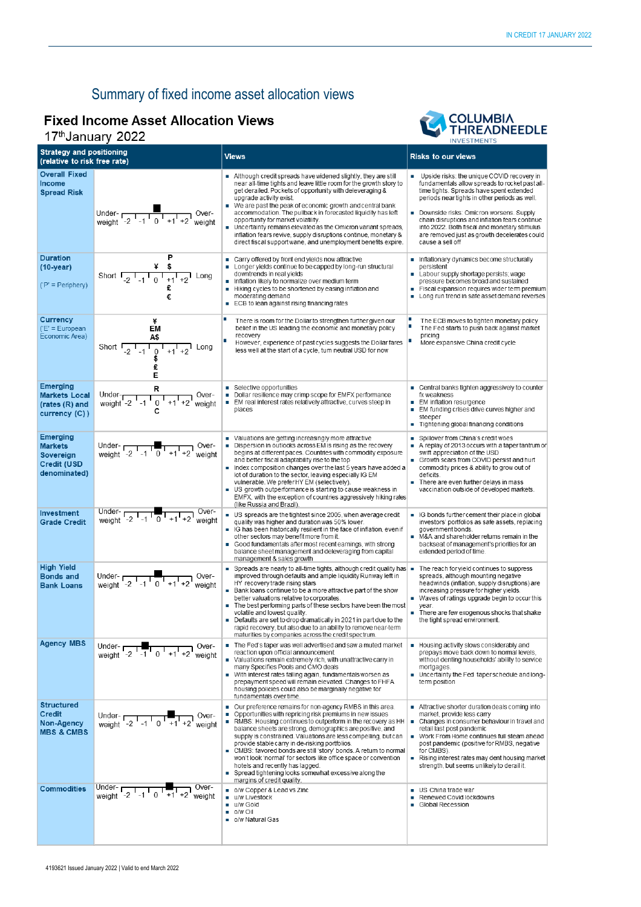# Summary of fixed income asset allocation views

# **Fixed Income Asset Allocation Views**

### 17th January 2022



| <b>Strategy and positioning</b><br><b>Views</b><br>(relative to risk free rate)      |                                                                                                                                                                                                                                                                                                                                                         |                                                                                                                                                                                                                                                                                                                                                                                                                                                                                                                                                                                                                                              | 11 Y LJ 1 1 1 L 1 Y 1 J<br><b>Risks to our views</b>                                                                                                                                                                                                                                                                                                                                                       |  |
|--------------------------------------------------------------------------------------|---------------------------------------------------------------------------------------------------------------------------------------------------------------------------------------------------------------------------------------------------------------------------------------------------------------------------------------------------------|----------------------------------------------------------------------------------------------------------------------------------------------------------------------------------------------------------------------------------------------------------------------------------------------------------------------------------------------------------------------------------------------------------------------------------------------------------------------------------------------------------------------------------------------------------------------------------------------------------------------------------------------|------------------------------------------------------------------------------------------------------------------------------------------------------------------------------------------------------------------------------------------------------------------------------------------------------------------------------------------------------------------------------------------------------------|--|
| <b>Overall Fixed</b><br>Income<br><b>Spread Risk</b>                                 | Under- $\frac{1}{\sqrt{2} \cdot 1 \cdot 1}$ 0 $\frac{1}{\sqrt{1} \cdot 1 \cdot 2}$ Over-                                                                                                                                                                                                                                                                | Although credit spreads have widened slightly, they are still<br>near all-time tights and leave little room for the growth story to<br>get derailed. Pockets of opportunity with deleveraging &<br>upgrade activity exist.<br>■ We are past the peak of economic growth and central bank<br>accommodation. The pullback in forecasted liquidity has left<br>opportunity for market volatility.<br>Uncertainty remains elevated as the Omicron variant spreads,<br>inflation fears revive, supply disruptions continue, monetary &<br>direct fiscal support wane, and unemployment benefits expire.                                           | Upside risks: the unique COVID recovery in<br>fundamentals allow spreads to rocket past all-<br>time tights. Spreads have spent extended<br>periods near tights in other periods as well.<br>Downside risks: Omicron worsens. Supply<br>chain disruptions and inflation fears continue<br>into 2022. Both fiscal and monetary stimulus<br>are removed just as growth decelerates could<br>cause a sell off |  |
| <b>Duration</b><br>$(10-year)$<br>$('P' = Periphery)$                                | Short $\frac{4}{-2}$ $\frac{4}{-1}$ $\frac{4}{0}$ $\frac{4}{+1}$ $\frac{1}{+2}$ Long<br>€                                                                                                                                                                                                                                                               | ■ Carry offered by front end yields now attractive<br>Longer yields continue to be capped by long-run structural<br>downtrends in real yields<br>Inflation likely to normalize over medium term<br>Hiking cycles to be shortened by easing inflation and<br>moderating demand<br>■ ECB to lean against rising financing rates                                                                                                                                                                                                                                                                                                                | Inflationary dynamics become structurally<br>persistent<br>Labour supply shortage persists; wage<br>pressure becomes broad and sustained<br>Fiscal expansion requires wider term premium<br>Long run trend in safe asset demand reverses                                                                                                                                                                   |  |
| Currency<br>$E' = European$<br>Economic Area)                                        | ¥<br>EM<br>A\$<br>Short $\frac{1}{2}$ $\frac{1}{10}$<br>I Long<br>$+1$ <sup>1</sup> +2<br>£<br>E                                                                                                                                                                                                                                                        | There is room for the Dollar to strengthen further given our<br>belief in the US leading the economic and monetary policy<br>recovery<br>However, experience of past cycles suggests the Dollar fares<br>less well at the start of a cycle, tum neutral USD for now                                                                                                                                                                                                                                                                                                                                                                          | The ECB moves to tighten monetary policy<br>The Fed starts to push back against market<br>pricing<br>More expansive China credit cycle                                                                                                                                                                                                                                                                     |  |
| Emerging<br><b>Markets Local</b><br>$(rates(R)$ and<br>currency (C))                 | R<br>Under- $\overline{1, 2, 1, 0, 1}$ +1 <sup>1</sup> +2 <sup>1</sup> weight                                                                                                                                                                                                                                                                           | Selective opportunities<br>Dollar resilience may crimp scope for EMFX performance<br>EM real interest rates relatively attractive, curves steep in<br>places                                                                                                                                                                                                                                                                                                                                                                                                                                                                                 | • Central banks tighten aggressively to counter<br>fx weakness<br>EM inflation resurgence<br>EM funding crises drive curves higher and<br>٠<br>steeper<br>Tightening global financing conditions                                                                                                                                                                                                           |  |
| <b>Emerging</b><br><b>Markets</b><br>Sovereign<br><b>Credit (USD</b><br>denominated) | Under- $\overline{C_1}$ $\overline{C_2}$ $\overline{C_3}$ $\overline{C_4}$ $\overline{C_5}$ $\overline{C_6}$ $\overline{C_7}$ $\overline{C_7}$ $\overline{C_8}$ $\overline{C_8}$ $\overline{C_9}$ $\overline{C_9}$ $\overline{C_9}$ $\overline{C_8}$ $\overline{C_9}$ $\overline{C_9}$ $\overline{C_9}$ $\overline{C_9}$ $\overline{C_9}$ $\overline{C$ | • Valuations are getting increasingly more attractive<br>Dispersion in outlooks across EM is rising as the recovery<br>begins at different paces. Countries with commodity exposure<br>and better fiscal adaptability rise to the top<br>Index composition changes over the last 5 years have added a<br>lot of duration to the sector, leaving especially IG EM<br>vulnerable. We prefer HY EM (selectively).<br>US growth outperformance is starting to cause weakness in<br>EMFX, with the exception of countries aggressively hiking rates<br>(like Russia and Brazil).                                                                  | Spillover from China's credit woes<br>A replay of 2013 occurs with a taper tantrum or<br>swift appreciation of the USD<br>Growth scars from COVID persist and hurt<br>commodity prices & ability to grow out of<br>deficits.<br>There are even further delays in mass<br>vaccination outside of developed markets.                                                                                         |  |
| <b>Investment</b><br><b>Grade Credit</b>                                             | Under-<br>weight $-2$ $-1$ $0$ $+1$ $+2$ weight                                                                                                                                                                                                                                                                                                         | US spreads are the tightest since 2005, when average credit<br>quality was higher and duration was 50% lower.<br>G has been historically resilient in the face of inflation, even if<br>other sectors may benefit more from it.<br>Good fundamentals after most recent earnings, with strong<br>balance sheet management and deleveraging from capital<br>management & sales growth                                                                                                                                                                                                                                                          | G bonds further cement their place in global<br>investors' portfolios as safe assets, replacing<br>government bonds.<br>M&A and shareholder retums remain in the<br>ш<br>backseat of management's priorities for an<br>extended period of time.                                                                                                                                                            |  |
| <b>High Yield</b><br><b>Bonds and</b><br><b>Bank Loans</b>                           | Under- $\frac{1}{2}$ -1 $\frac{1}{0}$ $\frac{1}{1+1}$ +2 weight                                                                                                                                                                                                                                                                                         | Spreads are nearly to all-time tights, although credit quality has $\blacksquare$<br>improved through defaults and ample liquidity Runway left in<br>HY recovery trade rising stars<br>■ Bank loans continue to be a more attractive part of the show<br>better valuations relative to corporates.<br>The best performing parts of these sectors have been the most<br>п<br>volatile and lowest quality.<br>Defaults are set to drop dramatically in 2021 in part due to the<br>rapid recovery, but also due to an ability to remove near-term<br>maturities by companies across the credit spectrum.                                        | The reach for yield continues to suppress<br>spreads, although mounting negative<br>headwinds (inflation, supply disruptions) are<br>increasing pressure for higher yields.<br>■ Waves of ratings upgrade begin to occur this<br>year.<br>There are few exogenous shocks that shake<br>the tight spread environment.                                                                                       |  |
| <b>Agency MBS</b>                                                                    | Under- $\begin{array}{c c c c c} \hline \text{Under} & \text{I} & \text{I} & \text{I} & \text{I} & \text{I} & \text{I} \\ \text{weight} & -2 & -1 & 0 & +1 & +2 & \text{weight} \end{array}$                                                                                                                                                            | The Fed's taper was well advertised and saw a muted market<br>reaction upon official announcement.<br>• Valuations remain extremely rich, with unattractive carry in<br>many Specifies Pools and CMO deals<br>■ With interest rates falling again, fundamentals worsen as<br>prepayment speed will remain elevated. Changes to FHFA<br>housing policies could also be marginally negative for<br>fundamentals over time.                                                                                                                                                                                                                     | Housing activity slows considerably and<br>prepays move back down to normal levels,<br>without denting households' ability to service<br>mortgages.<br>Uncertainty the Fed taper schedule and long-<br>term position                                                                                                                                                                                       |  |
| <b>Structured</b><br>Credit<br>Non-Agency<br><b>MBS &amp; CMBS</b>                   | Over-<br>Under- $\sqrt{-2}$ -1 0<br>$+1$ +2 weight                                                                                                                                                                                                                                                                                                      | ■ Our preference remains for non-agency RMBS in this area.<br>Opportunities with repricing risk premiums in new issues<br>ш<br>RMBS: Housing continues to outperform in the recovery as HH<br>balance sheets are strong, demographics are positive, and<br>supply is constrained. Valuations are less compelling, but can<br>provide stable carry in de-risking portfolios.<br>■ CMBS: favored bonds are still 'story' bonds. A return to normal<br>won't look 'normal' for sectors like office space or convention<br>hotels and recently has lagged.<br>Spread tightening looks somewhat excessive along the<br>margins of credit quality. | Attractive shorter duration deals coming into<br>market, provide less carry<br>• Changes in consumer behaviour in travel and<br>retail last post pandemic<br>■ Work From Home continues full steam ahead<br>post pandemic (positive for RMBS, negative<br>for CMBS).<br>Rising interest rates may dent housing market<br>strength, but seems unlikely to derail it.                                        |  |
| <b>Commodities</b>                                                                   | Under-<br>weight $-2$ $-1$ 0 $+1$ $+2$ weight                                                                                                                                                                                                                                                                                                           | ■ o/w Copper & Lead vs Zinc<br>u/w Livestock<br>u/w Gold<br>$\blacksquare$ o/w Oil<br>o/w Natural Gas                                                                                                                                                                                                                                                                                                                                                                                                                                                                                                                                        | US China trade war<br>Renewed Covid lockdowns<br>п<br>Global Recession                                                                                                                                                                                                                                                                                                                                     |  |